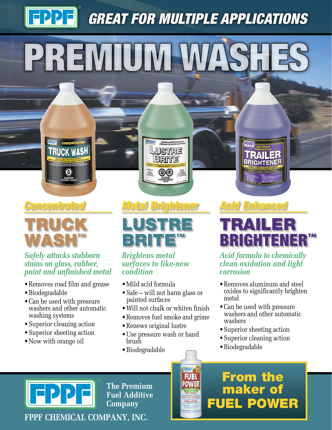# **[FPPF]** *GREAT FOR MULTIPLE APPLICATIONS* PREMIUM WA



# TRUCK WASH

#### *Safely attacks stubborn stains on glass, rubber, paint and unfinished metal*

**TRUCK WASH** 

- Removes road film and grease
- •Biodegradable
- Can be used with pressure washers and other automatic washing systems
- •Superior cleaning action
- •Superior sheeting action
- Now with orange oil

## *Concentrated Metal Brightener Acid Enhanced*

**Premium Metal BAT**<br>Politecary de materi **LUSTRE** 

BRITE

03



#### *Brightens metal surfaces to like-new condition*

- •Mild acid formula
- Safe will not harm glass or painted surfaces
- •Will not chalk or whiten finish
- Removes fuel smoke and grime

**PPET POWER** 

- •Renews original lustre
- Use pressure wash or hand brush
- •Biodegradable

**TRAILER**<br>BRIGHTENER

# TRAILER **BRIGHTENER**

*Acid formula to chemically clean oxidation and light corrosion*

- Removes aluminum and steel oxides to significantly brighten metal
- Can be used with pressure washers and other automatic washers
- •Superior sheeting action
- •Superior cleaning action

From the

maker of

FUEL POWER

•Biodegradable



**The Premium Fuel Additive Company**

**FPPF CHEMICAL COMPANY, INC.**